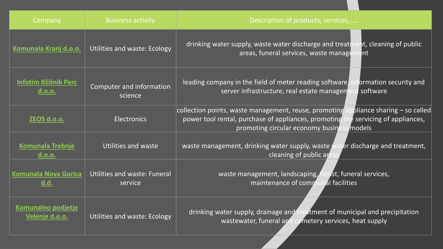| Company                               | <b>Business activity</b>                       | Description of products, services, :                                                                                                                                                                                     |
|---------------------------------------|------------------------------------------------|--------------------------------------------------------------------------------------------------------------------------------------------------------------------------------------------------------------------------|
| Komunala Kranj d.o.o.                 | <b>Utilities and waste: Ecology</b>            | nt, cleaning of public<br>drinking water supply, waste water discharge and treatr<br>areas, funeral services, waste manage<br>ent                                                                                        |
| <b>Infotim Ržišnik Perc</b><br>d.o.o. | Computer and information<br>science            | leading company in the field of meter reading software<br>ormation security and<br>server infrastructure, real estate managem<br>t software                                                                              |
| ZEOS d.o.o.                           | <b>Electronics</b>                             | pliance sharing - so called<br>collection points, waste management, reuse, promoting<br>power tool rental, purchase of appliances, promoting<br>e servicing of appliances,<br>promoting circular economy busin<br>models |
| <b>Komunala Trebnje</b><br>d.o.o.     | Utilities and waste                            | er discharge and treatment,<br>waste management, drinking water supply, waste<br>cleaning of public ar                                                                                                                   |
| <b>Komunala Nova Gorica</b><br>d.d.   | <b>Utilities and waste: Funeral</b><br>service | waste management, landscaping, f<br>lorist, funeral services,<br>maintenance of communal facilities                                                                                                                      |
| Komunalno podjetje<br>Velenje d.o.o.  | <b>Utilities and waste: Ecology</b>            | drinking water supply, drainage and treatment of municipal and precipitation<br>wastewater, funeral and cemetery services, heat supply                                                                                   |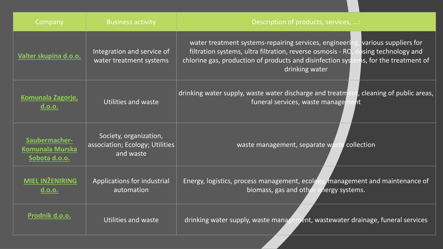| Company                                           | <b>Business activity</b>                                               | Description of products, services, :                                                                                                                                                                                                                                             |
|---------------------------------------------------|------------------------------------------------------------------------|----------------------------------------------------------------------------------------------------------------------------------------------------------------------------------------------------------------------------------------------------------------------------------|
| Valter skupina d.o.o.                             | Integration and service of<br>water treatment systems                  | various suppliers for<br>water treatment systems-repairing services, engineeri<br>osing technology and<br>filtration systems, ultra filtration, reverse osmosis - RO<br>chlorine gas, production of products and disinfection sys-<br>is, for the treatment of<br>drinking water |
| Komunala Zagorje,<br>d.o.o.                       | Utilities and waste                                                    | cleaning of public areas,<br>drinking water supply, waste water discharge and treatm<br>funeral services, waste manage<br>nt                                                                                                                                                     |
| Saubermacher-<br>Komunala Murska<br>Sobota d.o.o. | Society, organization,<br>association; Ecology; Utilities<br>and waste | collection<br>waste management, separate wa                                                                                                                                                                                                                                      |
| MIEL INŽENIRING<br>d.o.o.                         | Applications for industrial<br>automation                              | Energy, logistics, process management, ecolo<br>management and maintenance of<br>biomass, gas and other<br>nergy systems.                                                                                                                                                        |
| Prodnik d.o.o.                                    | Utilities and waste                                                    | drinking water supply, waste managen<br>pent, wastewater drainage, funeral services                                                                                                                                                                                              |